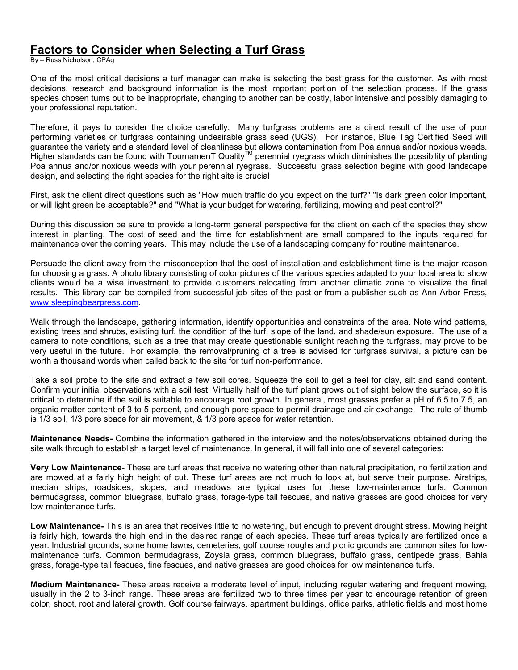## **Factors to Consider when Selecting a Turf Grass**

By – Russ Nicholson, CPAg

One of the most critical decisions a turf manager can make is selecting the best grass for the customer. As with most decisions, research and background information is the most important portion of the selection process. If the grass species chosen turns out to be inappropriate, changing to another can be costly, labor intensive and possibly damaging to your professional reputation.

Therefore, it pays to consider the choice carefully. Many turfgrass problems are a direct result of the use of poor performing varieties or turfgrass containing undesirable grass seed (UGS). For instance, Blue Tag Certified Seed will guarantee the variety and a standard level of cleanliness but allows contamination from Poa annua and/or noxious weeds. Higher standards can be found with TournamenT Quality<sup>TM</sup> perennial ryegrass which diminishes the possibility of planting Higher standards can be found with TournamenT Quality<sup>TM</sup> perennial ryegrass which diminishes the po Poa annua and/or noxious weeds with your perennial ryegrass. Successful grass selection begins with good landscape design, and selecting the right species for the right site is crucial

First, ask the client direct questions such as "How much traffic do you expect on the turf?" "Is dark green color important, or will light green be acceptable?" and "What is your budget for watering, fertilizing, mowing and pest control?"

During this discussion be sure to provide a long-term general perspective for the client on each of the species they show interest in planting. The cost of seed and the time for establishment are small compared to the inputs required for maintenance over the coming years. This may include the use of a landscaping company for routine maintenance.

Persuade the client away from the misconception that the cost of installation and establishment time is the major reason for choosing a grass. A photo library consisting of color pictures of the various species adapted to your local area to show clients would be a wise investment to provide customers relocating from another climatic zone to visualize the final results. This library can be compiled from successful job sites of the past or from a publisher such as Ann Arbor Press, www.sleepingbearpress.com.

Walk through the landscape, gathering information, identify opportunities and constraints of the area. Note wind patterns, existing trees and shrubs, existing turf, the condition of the turf, slope of the land, and shade/sun exposure. The use of a camera to note conditions, such as a tree that may create questionable sunlight reaching the turfgrass, may prove to be very useful in the future. For example, the removal/pruning of a tree is advised for turfgrass survival, a picture can be worth a thousand words when called back to the site for turf non-performance.

Take a soil probe to the site and extract a few soil cores. Squeeze the soil to get a feel for clay, silt and sand content. Confirm your initial observations with a soil test. Virtually half of the turf plant grows out of sight below the surface, so it is critical to determine if the soil is suitable to encourage root growth. In general, most grasses prefer a pH of 6.5 to 7.5, an organic matter content of 3 to 5 percent, and enough pore space to permit drainage and air exchange. The rule of thumb is 1/3 soil, 1/3 pore space for air movement, & 1/3 pore space for water retention.

**Maintenance Needs-** Combine the information gathered in the interview and the notes/observations obtained during the site walk through to establish a target level of maintenance. In general, it will fall into one of several categories:

**Very Low Maintenance**- These are turf areas that receive no watering other than natural precipitation, no fertilization and are mowed at a fairly high height of cut. These turf areas are not much to look at, but serve their purpose. Airstrips, median strips, roadsides, slopes, and meadows are typical uses for these low-maintenance turfs. Common bermudagrass, common bluegrass, buffalo grass, forage-type tall fescues, and native grasses are good choices for very low-maintenance turfs.

**Low Maintenance-** This is an area that receives little to no watering, but enough to prevent drought stress. Mowing height is fairly high, towards the high end in the desired range of each species. These turf areas typically are fertilized once a year. Industrial grounds, some home lawns, cemeteries, golf course roughs and picnic grounds are common sites for lowmaintenance turfs. Common bermudagrass, Zoysia grass, common bluegrass, buffalo grass, centipede grass, Bahia grass, forage-type tall fescues, fine fescues, and native grasses are good choices for low maintenance turfs.

**Medium Maintenance-** These areas receive a moderate level of input, including regular watering and frequent mowing, usually in the 2 to 3-inch range. These areas are fertilized two to three times per year to encourage retention of green color, shoot, root and lateral growth. Golf course fairways, apartment buildings, office parks, athletic fields and most home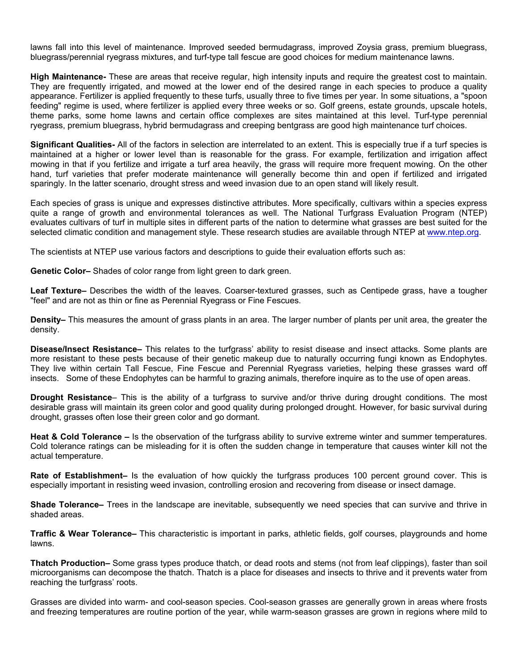lawns fall into this level of maintenance. Improved seeded bermudagrass, improved Zoysia grass, premium bluegrass, bluegrass/perennial ryegrass mixtures, and turf-type tall fescue are good choices for medium maintenance lawns.

**High Maintenance-** These are areas that receive regular, high intensity inputs and require the greatest cost to maintain. They are frequently irrigated, and mowed at the lower end of the desired range in each species to produce a quality appearance. Fertilizer is applied frequently to these turfs, usually three to five times per year. In some situations, a "spoon feeding" regime is used, where fertilizer is applied every three weeks or so. Golf greens, estate grounds, upscale hotels, theme parks, some home lawns and certain office complexes are sites maintained at this level. Turf-type perennial ryegrass, premium bluegrass, hybrid bermudagrass and creeping bentgrass are good high maintenance turf choices.

**Significant Qualities-** All of the factors in selection are interrelated to an extent. This is especially true if a turf species is maintained at a higher or lower level than is reasonable for the grass. For example, fertilization and irrigation affect mowing in that if you fertilize and irrigate a turf area heavily, the grass will require more frequent mowing. On the other hand, turf varieties that prefer moderate maintenance will generally become thin and open if fertilized and irrigated sparingly. In the latter scenario, drought stress and weed invasion due to an open stand will likely result.

Each species of grass is unique and expresses distinctive attributes. More specifically, cultivars within a species express quite a range of growth and environmental tolerances as well. The National Turfgrass Evaluation Program (NTEP) evaluates cultivars of turf in multiple sites in different parts of the nation to determine what grasses are best suited for the selected climatic condition and management style. These research studies are available through NTEP at www.ntep.org.

The scientists at NTEP use various factors and descriptions to guide their evaluation efforts such as:

**Genetic Color–** Shades of color range from light green to dark green.

**Leaf Texture–** Describes the width of the leaves. Coarser-textured grasses, such as Centipede grass, have a tougher "feel" and are not as thin or fine as Perennial Ryegrass or Fine Fescues.

**Density–** This measures the amount of grass plants in an area. The larger number of plants per unit area, the greater the density.

**Disease/Insect Resistance–** This relates to the turfgrass' ability to resist disease and insect attacks. Some plants are more resistant to these pests because of their genetic makeup due to naturally occurring fungi known as Endophytes. They live within certain Tall Fescue, Fine Fescue and Perennial Ryegrass varieties, helping these grasses ward off insects. Some of these Endophytes can be harmful to grazing animals, therefore inquire as to the use of open areas.

**Drought Resistance**– This is the ability of a turfgrass to survive and/or thrive during drought conditions. The most desirable grass will maintain its green color and good quality during prolonged drought. However, for basic survival during drought, grasses often lose their green color and go dormant.

**Heat & Cold Tolerance –** Is the observation of the turfgrass ability to survive extreme winter and summer temperatures. Cold tolerance ratings can be misleading for it is often the sudden change in temperature that causes winter kill not the actual temperature.

**Rate of Establishment–** Is the evaluation of how quickly the turfgrass produces 100 percent ground cover. This is especially important in resisting weed invasion, controlling erosion and recovering from disease or insect damage.

**Shade Tolerance–** Trees in the landscape are inevitable, subsequently we need species that can survive and thrive in shaded areas.

**Traffic & Wear Tolerance–** This characteristic is important in parks, athletic fields, golf courses, playgrounds and home lawns.

**Thatch Production–** Some grass types produce thatch, or dead roots and stems (not from leaf clippings), faster than soil microorganisms can decompose the thatch. Thatch is a place for diseases and insects to thrive and it prevents water from reaching the turfgrass' roots.

Grasses are divided into warm- and cool-season species. Cool-season grasses are generally grown in areas where frosts and freezing temperatures are routine portion of the year, while warm-season grasses are grown in regions where mild to